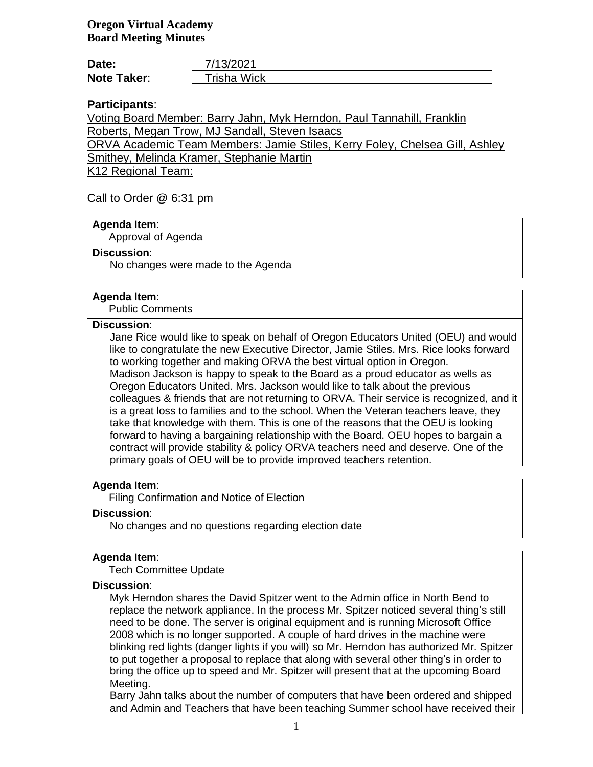| Date:              | 7/13/2021   |
|--------------------|-------------|
| <b>Note Taker:</b> | Trisha Wick |

# **Participants**:

Voting Board Member: Barry Jahn, Myk Herndon, Paul Tannahill, Franklin Roberts, Megan Trow, MJ Sandall, Steven Isaacs

ORVA Academic Team Members: Jamie Stiles, Kerry Foley, Chelsea Gill, Ashley Smithey, Melinda Kramer, Stephanie Martin

K12 Regional Team:

Call to Order @ 6:31 pm

## **Agenda Item**:

Approval of Agenda

#### **Discussion**:

No changes were made to the Agenda

#### **Agenda Item**:

Public Comments

#### **Discussion**:

Jane Rice would like to speak on behalf of Oregon Educators United (OEU) and would like to congratulate the new Executive Director, Jamie Stiles. Mrs. Rice looks forward to working together and making ORVA the best virtual option in Oregon. Madison Jackson is happy to speak to the Board as a proud educator as wells as Oregon Educators United. Mrs. Jackson would like to talk about the previous colleagues & friends that are not returning to ORVA. Their service is recognized, and it is a great loss to families and to the school. When the Veteran teachers leave, they take that knowledge with them. This is one of the reasons that the OEU is looking forward to having a bargaining relationship with the Board. OEU hopes to bargain a contract will provide stability & policy ORVA teachers need and deserve. One of the primary goals of OEU will be to provide improved teachers retention.

# **Agenda Item**:

Filing Confirmation and Notice of Election

#### **Discussion**:

No changes and no questions regarding election date

#### **Agenda Item**:

Tech Committee Update

#### **Discussion**:

Myk Herndon shares the David Spitzer went to the Admin office in North Bend to replace the network appliance. In the process Mr. Spitzer noticed several thing's still need to be done. The server is original equipment and is running Microsoft Office 2008 which is no longer supported. A couple of hard drives in the machine were blinking red lights (danger lights if you will) so Mr. Herndon has authorized Mr. Spitzer to put together a proposal to replace that along with several other thing's in order to bring the office up to speed and Mr. Spitzer will present that at the upcoming Board Meeting.

Barry Jahn talks about the number of computers that have been ordered and shipped and Admin and Teachers that have been teaching Summer school have received their